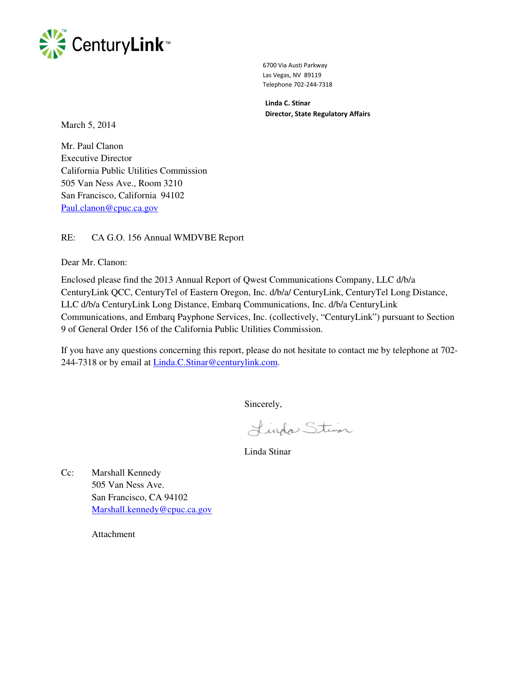

 6700 Via Austi Parkway Las Vegas, NV 89119 Telephone 702-244-7318

 Linda C. Stinar Director, State Regulatory Affairs

March 5, 2014

Mr. Paul Clanon Executive Director California Public Utilities Commission 505 Van Ness Ave., Room 3210 San Francisco, California 94102 Paul.clanon@cpuc.ca.gov

RE: CA G.O. 156 Annual WMDVBE Report

Dear Mr. Clanon:

Enclosed please find the 2013 Annual Report of Qwest Communications Company, LLC d/b/a CenturyLink QCC, CenturyTel of Eastern Oregon, Inc. d/b/a/ CenturyLink, CenturyTel Long Distance, LLC d/b/a CenturyLink Long Distance, Embarq Communications, Inc. d/b/a CenturyLink Communications, and Embarq Payphone Services, Inc. (collectively, "CenturyLink") pursuant to Section 9 of General Order 156 of the California Public Utilities Commission.

If you have any questions concerning this report, please do not hesitate to contact me by telephone at 702- 244-7318 or by email at Linda.C.Stinar@centurylink.com.

Sincerely,

Linda Stein

Linda Stinar

Cc: Marshall Kennedy 505 Van Ness Ave. San Francisco, CA 94102 Marshall.kennedy@cpuc.ca.gov

Attachment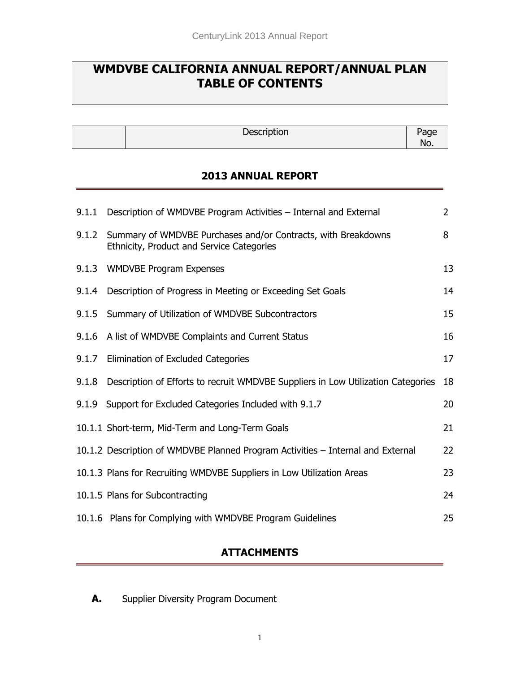# **WMDVBE CALIFORNIA ANNUAL REPORT/ANNUAL PLAN TABLE OF CONTENTS**

Description Page

No.

#### **2013 ANNUAL REPORT**

|       | 9.1.1 Description of WMDVBE Program Activities - Internal and External                                     | $\overline{2}$ |
|-------|------------------------------------------------------------------------------------------------------------|----------------|
| 9.1.2 | Summary of WMDVBE Purchases and/or Contracts, with Breakdowns<br>Ethnicity, Product and Service Categories | 8              |
|       | 9.1.3 WMDVBE Program Expenses                                                                              | 13             |
|       | 9.1.4 Description of Progress in Meeting or Exceeding Set Goals                                            | 14             |
| 9.1.5 | Summary of Utilization of WMDVBE Subcontractors                                                            | 15             |
|       | 9.1.6 A list of WMDVBE Complaints and Current Status                                                       | 16             |
|       | 9.1.7 Elimination of Excluded Categories                                                                   | 17             |
|       | 9.1.8 Description of Efforts to recruit WMDVBE Suppliers in Low Utilization Categories                     | 18             |
|       | 9.1.9 Support for Excluded Categories Included with 9.1.7                                                  | 20             |
|       | 10.1.1 Short-term, Mid-Term and Long-Term Goals                                                            | 21             |
|       | 10.1.2 Description of WMDVBE Planned Program Activities - Internal and External                            | 22             |
|       | 10.1.3 Plans for Recruiting WMDVBE Suppliers in Low Utilization Areas                                      | 23             |
|       | 10.1.5 Plans for Subcontracting                                                                            | 24             |
|       | 10.1.6 Plans for Complying with WMDVBE Program Guidelines                                                  | 25             |

### **ATTACHMENTS**

**A.** Supplier Diversity Program Document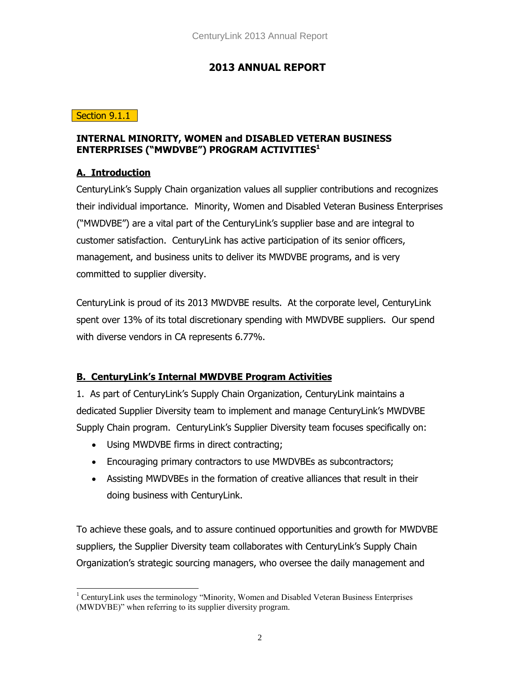### **2013 ANNUAL REPORT**

#### Section 9.1.1

#### **INTERNAL MINORITY, WOMEN and DISABLED VETERAN BUSINESS ENTERPRISES ("MWDVBE") PROGRAM ACTIVITIES<sup>1</sup>**

#### **A. Introduction**

CenturyLink's Supply Chain organization values all supplier contributions and recognizes their individual importance. Minority, Women and Disabled Veteran Business Enterprises ("MWDVBE") are a vital part of the CenturyLink's supplier base and are integral to customer satisfaction. CenturyLink has active participation of its senior officers, management, and business units to deliver its MWDVBE programs, and is very committed to supplier diversity.

CenturyLink is proud of its 2013 MWDVBE results. At the corporate level, CenturyLink spent over 13% of its total discretionary spending with MWDVBE suppliers. Our spend with diverse vendors in CA represents 6.77%.

### **B. CenturyLink's Internal MWDVBE Program Activities**

1. As part of CenturyLink's Supply Chain Organization, CenturyLink maintains a dedicated Supplier Diversity team to implement and manage CenturyLink's MWDVBE Supply Chain program. CenturyLink's Supplier Diversity team focuses specifically on:

- Using MWDVBE firms in direct contracting;
- Encouraging primary contractors to use MWDVBEs as subcontractors;
- Assisting MWDVBEs in the formation of creative alliances that result in their doing business with CenturyLink.

To achieve these goals, and to assure continued opportunities and growth for MWDVBE suppliers, the Supplier Diversity team collaborates with CenturyLink's Supply Chain Organization's strategic sourcing managers, who oversee the daily management and

 $\overline{a}$ <sup>1</sup> CenturyLink uses the terminology "Minority, Women and Disabled Veteran Business Enterprises (MWDVBE)" when referring to its supplier diversity program.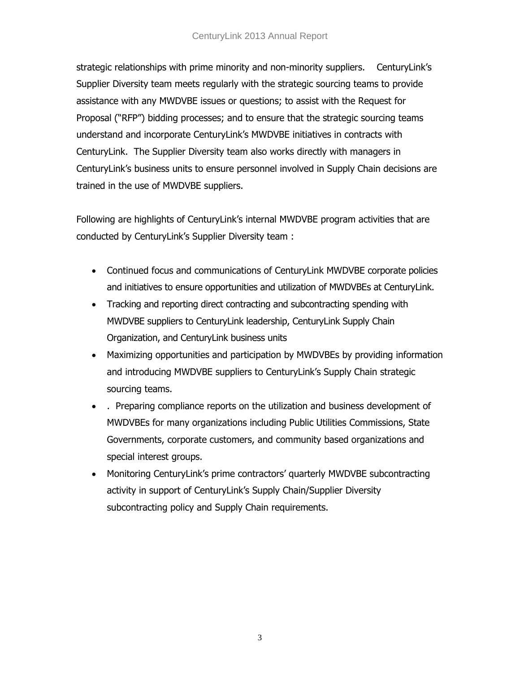#### CenturyLink 2013 Annual Report

strategic relationships with prime minority and non-minority suppliers. CenturyLink's Supplier Diversity team meets regularly with the strategic sourcing teams to provide assistance with any MWDVBE issues or questions; to assist with the Request for Proposal ("RFP") bidding processes; and to ensure that the strategic sourcing teams understand and incorporate CenturyLink's MWDVBE initiatives in contracts with CenturyLink. The Supplier Diversity team also works directly with managers in CenturyLink's business units to ensure personnel involved in Supply Chain decisions are trained in the use of MWDVBE suppliers.

Following are highlights of CenturyLink's internal MWDVBE program activities that are conducted by CenturyLink's Supplier Diversity team :

- Continued focus and communications of CenturyLink MWDVBE corporate policies and initiatives to ensure opportunities and utilization of MWDVBEs at CenturyLink.
- Tracking and reporting direct contracting and subcontracting spending with MWDVBE suppliers to CenturyLink leadership, CenturyLink Supply Chain Organization, and CenturyLink business units
- Maximizing opportunities and participation by MWDVBEs by providing information and introducing MWDVBE suppliers to CenturyLink's Supply Chain strategic sourcing teams.
- . Preparing compliance reports on the utilization and business development of MWDVBEs for many organizations including Public Utilities Commissions, State Governments, corporate customers, and community based organizations and special interest groups.
- Monitoring CenturyLink's prime contractors' quarterly MWDVBE subcontracting activity in support of CenturyLink's Supply Chain/Supplier Diversity subcontracting policy and Supply Chain requirements.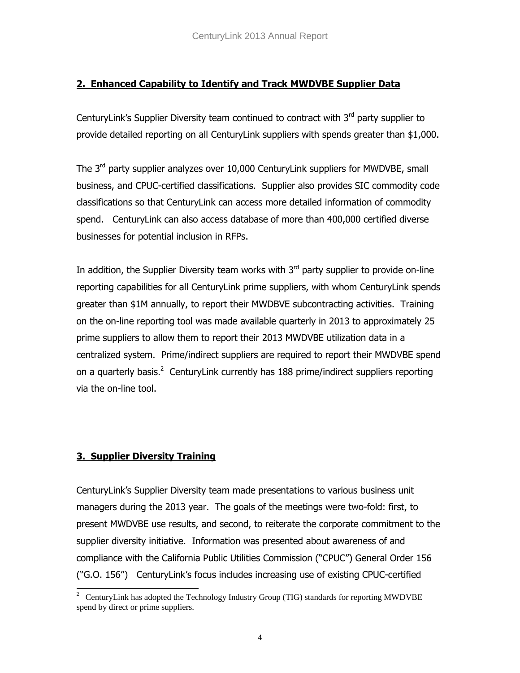### **2. Enhanced Capability to Identify and Track MWDVBE Supplier Data**

CenturyLink's Supplier Diversity team continued to contract with 3<sup>rd</sup> party supplier to provide detailed reporting on all CenturyLink suppliers with spends greater than \$1,000.

The  $3<sup>rd</sup>$  party supplier analyzes over 10,000 CenturyLink suppliers for MWDVBE, small business, and CPUC-certified classifications. Supplier also provides SIC commodity code classifications so that CenturyLink can access more detailed information of commodity spend. CenturyLink can also access database of more than 400,000 certified diverse businesses for potential inclusion in RFPs.

In addition, the Supplier Diversity team works with  $3<sup>rd</sup>$  party supplier to provide on-line reporting capabilities for all CenturyLink prime suppliers, with whom CenturyLink spends greater than \$1M annually, to report their MWDBVE subcontracting activities. Training on the on-line reporting tool was made available quarterly in 2013 to approximately 25 prime suppliers to allow them to report their 2013 MWDVBE utilization data in a centralized system. Prime/indirect suppliers are required to report their MWDVBE spend on a quarterly basis.<sup>2</sup> CenturyLink currently has 188 prime/indirect suppliers reporting via the on-line tool.

### **3. Supplier Diversity Training**

CenturyLink's Supplier Diversity team made presentations to various business unit managers during the 2013 year. The goals of the meetings were two-fold: first, to present MWDVBE use results, and second, to reiterate the corporate commitment to the supplier diversity initiative. Information was presented about awareness of and compliance with the California Public Utilities Commission ("CPUC") General Order 156 ("G.O. 156") CenturyLink's focus includes increasing use of existing CPUC-certified

<sup>&</sup>lt;sup>2</sup> CenturyLink has adopted the Technology Industry Group (TIG) standards for reporting MWDVBE spend by direct or prime suppliers.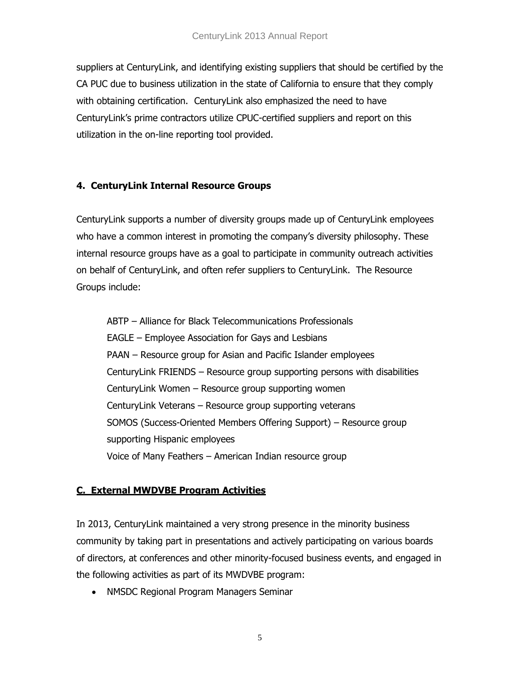#### CenturyLink 2013 Annual Report

suppliers at CenturyLink, and identifying existing suppliers that should be certified by the CA PUC due to business utilization in the state of California to ensure that they comply with obtaining certification. CenturyLink also emphasized the need to have CenturyLink's prime contractors utilize CPUC-certified suppliers and report on this utilization in the on-line reporting tool provided.

#### **4. CenturyLink Internal Resource Groups**

CenturyLink supports a number of diversity groups made up of CenturyLink employees who have a common interest in promoting the company's diversity philosophy. These internal resource groups have as a goal to participate in community outreach activities on behalf of CenturyLink, and often refer suppliers to CenturyLink. The Resource Groups include:

ABTP – Alliance for Black Telecommunications Professionals EAGLE – Employee Association for Gays and Lesbians PAAN – Resource group for Asian and Pacific Islander employees CenturyLink FRIENDS – Resource group supporting persons with disabilities CenturyLink Women – Resource group supporting women CenturyLink Veterans – Resource group supporting veterans SOMOS (Success-Oriented Members Offering Support) – Resource group supporting Hispanic employees Voice of Many Feathers – American Indian resource group

### **C. External MWDVBE Program Activities**

In 2013, CenturyLink maintained a very strong presence in the minority business community by taking part in presentations and actively participating on various boards of directors, at conferences and other minority-focused business events, and engaged in the following activities as part of its MWDVBE program:

NMSDC Regional Program Managers Seminar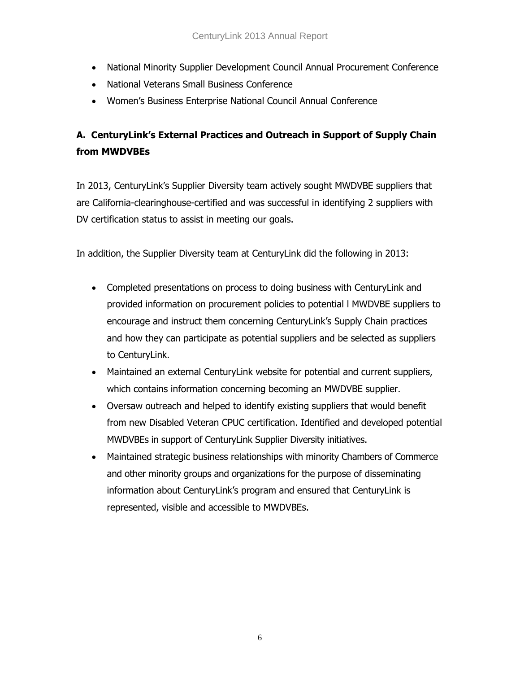- National Minority Supplier Development Council Annual Procurement Conference
- National Veterans Small Business Conference
- Women's Business Enterprise National Council Annual Conference

# **A. CenturyLink's External Practices and Outreach in Support of Supply Chain from MWDVBEs**

In 2013, CenturyLink's Supplier Diversity team actively sought MWDVBE suppliers that are California-clearinghouse-certified and was successful in identifying 2 suppliers with DV certification status to assist in meeting our goals.

In addition, the Supplier Diversity team at CenturyLink did the following in 2013:

- Completed presentations on process to doing business with CenturyLink and provided information on procurement policies to potential l MWDVBE suppliers to encourage and instruct them concerning CenturyLink's Supply Chain practices and how they can participate as potential suppliers and be selected as suppliers to CenturyLink.
- Maintained an external CenturyLink website for potential and current suppliers, which contains information concerning becoming an MWDVBE supplier.
- Oversaw outreach and helped to identify existing suppliers that would benefit from new Disabled Veteran CPUC certification. Identified and developed potential MWDVBEs in support of CenturyLink Supplier Diversity initiatives.
- Maintained strategic business relationships with minority Chambers of Commerce and other minority groups and organizations for the purpose of disseminating information about CenturyLink's program and ensured that CenturyLink is represented, visible and accessible to MWDVBEs.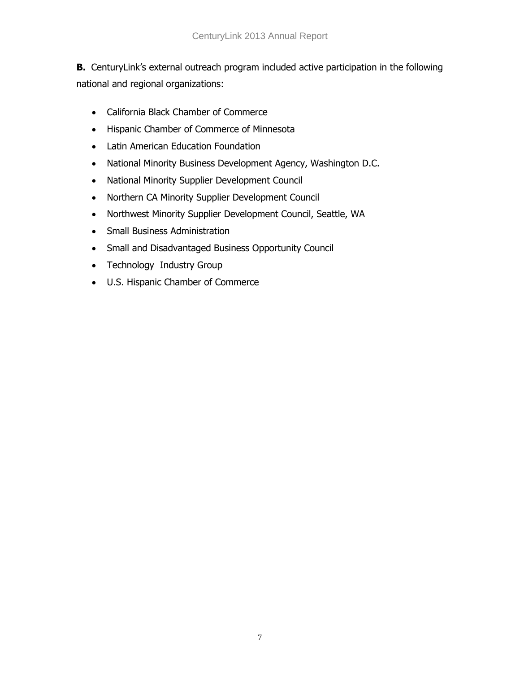**B.** CenturyLink's external outreach program included active participation in the following national and regional organizations:

- California Black Chamber of Commerce
- Hispanic Chamber of Commerce of Minnesota
- Latin American Education Foundation
- National Minority Business Development Agency, Washington D.C.
- National Minority Supplier Development Council
- Northern CA Minority Supplier Development Council
- Northwest Minority Supplier Development Council, Seattle, WA
- Small Business Administration
- Small and Disadvantaged Business Opportunity Council
- Technology Industry Group
- U.S. Hispanic Chamber of Commerce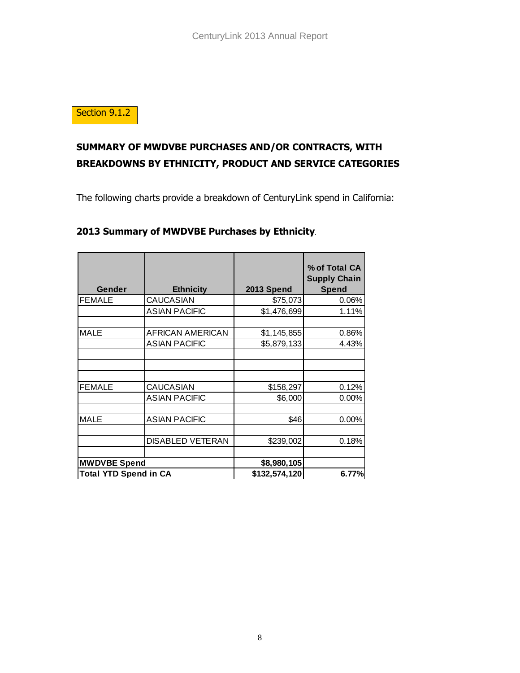Section 9.1.2

# **SUMMARY OF MWDVBE PURCHASES AND/OR CONTRACTS, WITH BREAKDOWNS BY ETHNICITY, PRODUCT AND SERVICE CATEGORIES**

The following charts provide a breakdown of CenturyLink spend in California:

| <b>Gender</b>                | <b>Ethnicity</b>        | 2013 Spend    | % of Total CA<br><b>Supply Chain</b><br>Spend |
|------------------------------|-------------------------|---------------|-----------------------------------------------|
| <b>FEMALE</b>                | <b>CAUCASIAN</b>        | \$75,073      | 0.06%                                         |
|                              | <b>ASIAN PACIFIC</b>    | \$1,476,699   | 1.11%                                         |
| <b>MALE</b>                  | <b>AFRICAN AMERICAN</b> | \$1,145,855   | 0.86%                                         |
|                              | <b>ASIAN PACIFIC</b>    | \$5,879,133   | 4.43%                                         |
|                              |                         |               |                                               |
| <b>FEMALE</b>                | CAUCASIAN               | \$158,297     | 0.12%                                         |
|                              | <b>ASIAN PACIFIC</b>    | \$6,000       | 0.00%                                         |
| <b>MALE</b>                  | <b>ASIAN PACIFIC</b>    | \$46          | 0.00%                                         |
|                              | <b>DISABLED VETERAN</b> | \$239,002     | 0.18%                                         |
| <b>MWDVBE Spend</b>          |                         | \$8,980,105   |                                               |
| <b>Total YTD Spend in CA</b> |                         | \$132,574,120 | 6.77%                                         |

#### **2013 Summary of MWDVBE Purchases by Ethnicity***.*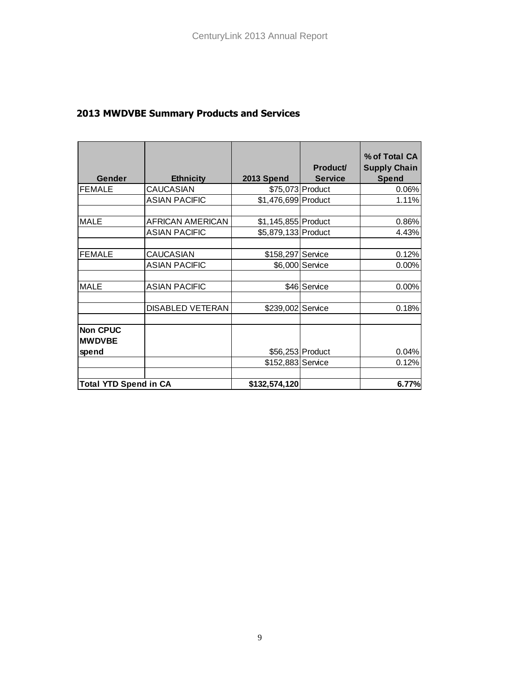# **2013 MWDVBE Summary Products and Services**

|                                  |                                          |                                            | Product/         | % of Total CA<br><b>Supply Chain</b> |
|----------------------------------|------------------------------------------|--------------------------------------------|------------------|--------------------------------------|
| Gender                           | <b>Ethnicity</b>                         | 2013 Spend                                 | <b>Service</b>   | <b>Spend</b>                         |
| <b>FEMALE</b>                    | <b>CAUCASIAN</b>                         |                                            | \$75,073 Product | 0.06%                                |
|                                  | <b>ASIAN PACIFIC</b>                     | \$1,476,699 Product                        |                  | 1.11%                                |
| <b>MALE</b>                      | AFRICAN AMERICAN<br><b>ASIAN PACIFIC</b> | \$1,145,855 Product<br>\$5,879,133 Product |                  | 0.86%<br>4.43%                       |
| <b>FEMALE</b>                    | <b>CAUCASIAN</b>                         | \$158,297 Service                          |                  | 0.12%                                |
|                                  | <b>ASIAN PACIFIC</b>                     |                                            | \$6,000 Service  | 0.00%                                |
| <b>MALE</b>                      | <b>ASIAN PACIFIC</b>                     |                                            | \$46 Service     | 0.00%                                |
|                                  | <b>DISABLED VETERAN</b>                  | \$239,002 Service                          |                  | 0.18%                                |
| <b>Non CPUC</b><br><b>MWDVBE</b> |                                          |                                            |                  |                                      |
| spend                            |                                          | \$56,253 Product                           |                  | 0.04%                                |
|                                  |                                          | \$152,883 Service                          |                  | 0.12%                                |
| <b>Total YTD Spend in CA</b>     |                                          | \$132,574,120                              |                  | 6.77%                                |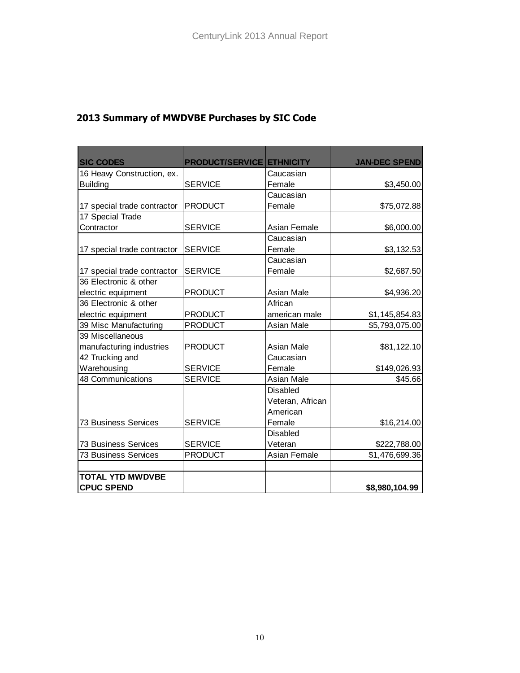| <b>SIC CODES</b>            | <b>PRODUCT/SERVICE ETHNICITY</b> |                  | <b>JAN-DEC SPEND</b> |
|-----------------------------|----------------------------------|------------------|----------------------|
| 16 Heavy Construction, ex.  |                                  | Caucasian        |                      |
| <b>Building</b>             | <b>SERVICE</b>                   | Female           | \$3,450.00           |
|                             |                                  | Caucasian        |                      |
| 17 special trade contractor | <b>PRODUCT</b>                   | Female           | \$75,072.88          |
| 17 Special Trade            |                                  |                  |                      |
| Contractor                  | <b>SERVICE</b>                   | Asian Female     | \$6,000.00           |
|                             |                                  | Caucasian        |                      |
| 17 special trade contractor | <b>SERVICE</b>                   | Female           | \$3,132.53           |
|                             |                                  | Caucasian        |                      |
| 17 special trade contractor | <b>SERVICE</b>                   | Female           | \$2,687.50           |
| 36 Electronic & other       |                                  |                  |                      |
| electric equipment          | <b>PRODUCT</b>                   | Asian Male       | \$4,936.20           |
| 36 Electronic & other       |                                  | African          |                      |
| electric equipment          | <b>PRODUCT</b>                   | american male    | \$1,145,854.83       |
| 39 Misc Manufacturing       | <b>PRODUCT</b>                   | Asian Male       | \$5,793,075.00       |
| 39 Miscellaneous            |                                  |                  |                      |
| manufacturing industries    | <b>PRODUCT</b>                   | Asian Male       | \$81,122.10          |
| 42 Trucking and             |                                  | Caucasian        |                      |
| Warehousing                 | <b>SERVICE</b>                   | Female           | \$149,026.93         |
| 48 Communications           | <b>SERVICE</b>                   | Asian Male       | \$45.66              |
|                             |                                  | <b>Disabled</b>  |                      |
|                             |                                  | Veteran, African |                      |
|                             |                                  | American         |                      |
| 73 Business Services        | <b>SERVICE</b>                   | Female           | \$16,214.00          |
|                             |                                  | <b>Disabled</b>  |                      |
| <b>73 Business Services</b> | <b>SERVICE</b>                   | Veteran          | \$222,788.00         |
| <b>73 Business Services</b> | <b>PRODUCT</b>                   | Asian Female     | \$1,476,699.36       |
|                             |                                  |                  |                      |
| <b>TOTAL YTD MWDVBE</b>     |                                  |                  |                      |
| <b>CPUC SPEND</b>           |                                  |                  | \$8,980,104.99       |

# **2013 Summary of MWDVBE Purchases by SIC Code**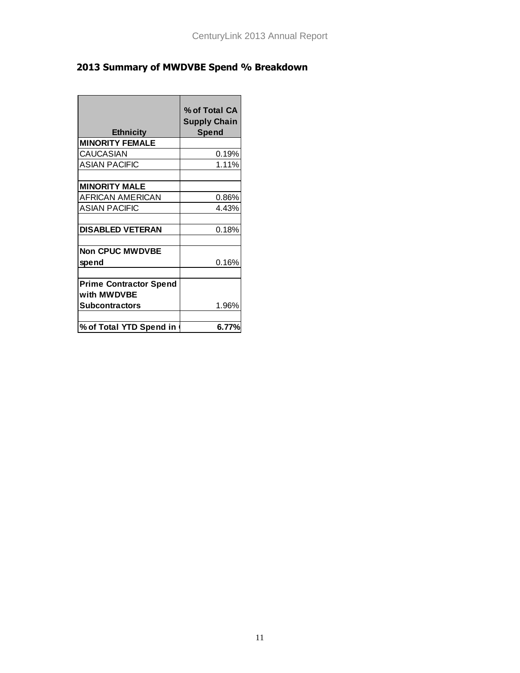# **2013 Summary of MWDVBE Spend % Breakdown**

| <b>Ethnicity</b>              | % of Total CA<br><b>Supply Chain</b><br>Spend |
|-------------------------------|-----------------------------------------------|
| <b>MINORITY FEMALE</b>        |                                               |
| <b>CAUCASIAN</b>              | 0.19%                                         |
| <b>ASIAN PACIFIC</b>          | 1.11%                                         |
|                               |                                               |
| <b>MINORITY MALE</b>          |                                               |
| <b>AFRICAN AMERICAN</b>       | 0.86%                                         |
| <b>ASIAN PACIFIC</b>          | 4.43%                                         |
|                               |                                               |
| <b>DISABLED VETERAN</b>       | 0.18%                                         |
|                               |                                               |
| <b>Non CPUC MWDVBE</b>        |                                               |
| spend                         | 0.16%                                         |
|                               |                                               |
| <b>Prime Contractor Spend</b> |                                               |
| with MWDVBE                   |                                               |
| Subcontractors                | 1.96%                                         |
|                               |                                               |
| % of Total YTD Spend in       | 6.77%                                         |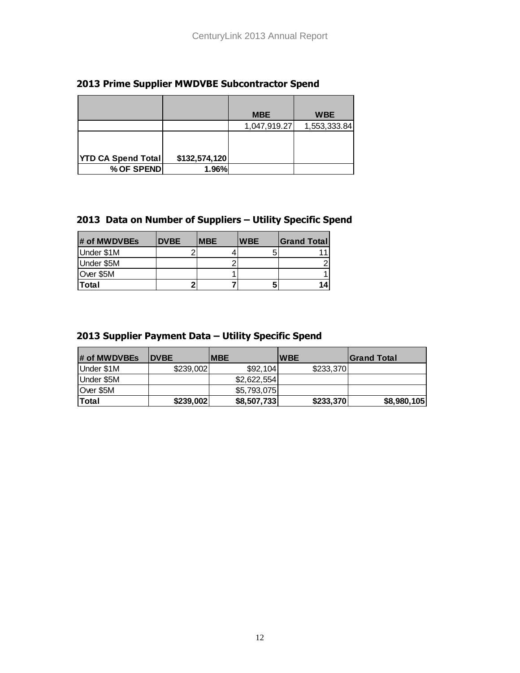#### **2013 Prime Supplier MWDVBE Subcontractor Spend**

|                           |               | <b>MBE</b>   | <b>WBE</b>   |
|---------------------------|---------------|--------------|--------------|
|                           |               | 1,047,919.27 | 1,553,333.84 |
|                           |               |              |              |
|                           |               |              |              |
| <b>YTD CA Spend Total</b> | \$132,574,120 |              |              |
| % OF SPEND                | 1.96%         |              |              |

### **2013 Data on Number of Suppliers – Utility Specific Spend**

| # of MWDVBEs | <b>DVBE</b> | <b>MBE</b> | <b>WBE</b> | <b>Grand Total</b> |
|--------------|-------------|------------|------------|--------------------|
| Under \$1M   |             |            |            |                    |
| Under \$5M   |             |            |            |                    |
| Over \$5M    |             |            |            |                    |
| <b>Total</b> |             |            | b          | 14                 |

#### **2013 Supplier Payment Data – Utility Specific Spend**

| # of MWDVBEs | <b>DVBE</b> | <b>IMBE</b> | <b>WBE</b> | <b>IGrand Total</b> |
|--------------|-------------|-------------|------------|---------------------|
| Under \$1M   | \$239,002   | \$92,104    | \$233,370  |                     |
| Under \$5M   |             | \$2,622,554 |            |                     |
| Over \$5M    |             | \$5,793,075 |            |                     |
| Total        | \$239,002   | \$8,507,733 | \$233,370  | \$8,980,105         |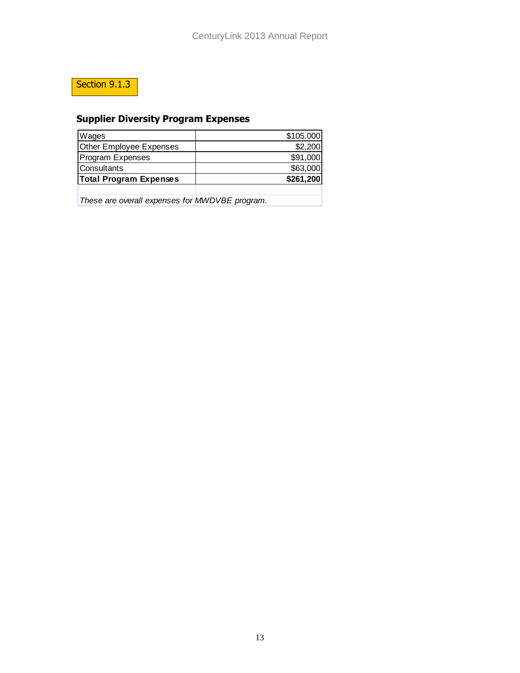# Section 9.1.3

# **Supplier Diversity Program Expenses**

| <b>Total Program Expenses</b> | \$261,200 |
|-------------------------------|-----------|
| lConsultants                  | \$63,000  |
| Program Expenses              | \$91,000  |
| Other Employee Expenses       | \$2,200   |
| Wages                         | \$105,000 |

*These are overall expenses for MWDVBE program.*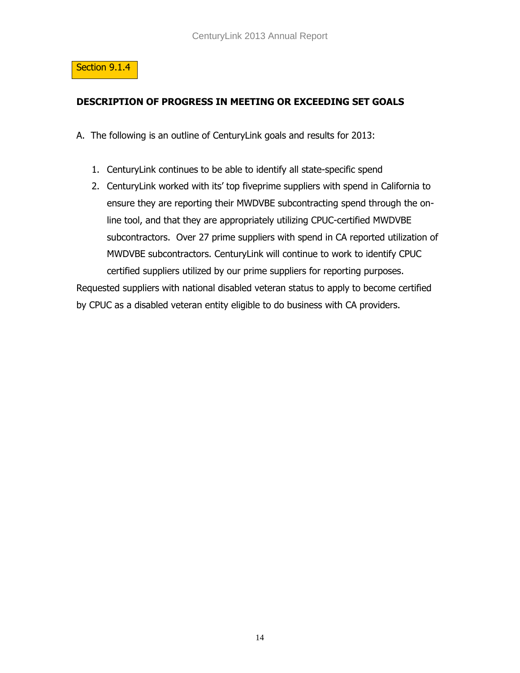

### **DESCRIPTION OF PROGRESS IN MEETING OR EXCEEDING SET GOALS**

A. The following is an outline of CenturyLink goals and results for 2013:

- 1. CenturyLink continues to be able to identify all state-specific spend
- 2. CenturyLink worked with its' top fiveprime suppliers with spend in California to ensure they are reporting their MWDVBE subcontracting spend through the online tool, and that they are appropriately utilizing CPUC-certified MWDVBE subcontractors. Over 27 prime suppliers with spend in CA reported utilization of MWDVBE subcontractors. CenturyLink will continue to work to identify CPUC certified suppliers utilized by our prime suppliers for reporting purposes.

Requested suppliers with national disabled veteran status to apply to become certified by CPUC as a disabled veteran entity eligible to do business with CA providers.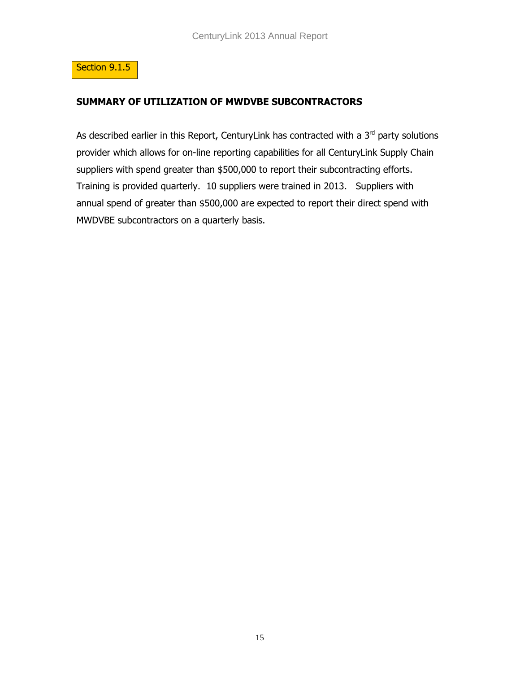

#### **SUMMARY OF UTILIZATION OF MWDVBE SUBCONTRACTORS**

As described earlier in this Report, CenturyLink has contracted with a  $3<sup>rd</sup>$  party solutions provider which allows for on-line reporting capabilities for all CenturyLink Supply Chain suppliers with spend greater than \$500,000 to report their subcontracting efforts. Training is provided quarterly. 10 suppliers were trained in 2013. Suppliers with annual spend of greater than \$500,000 are expected to report their direct spend with MWDVBE subcontractors on a quarterly basis.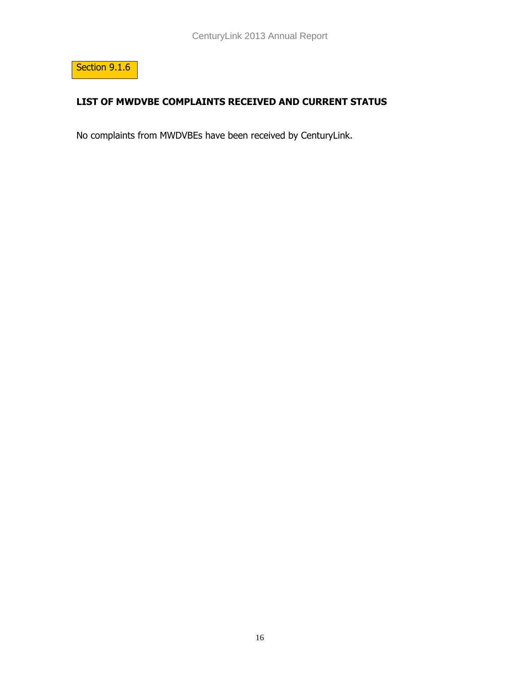

## **LIST OF MWDVBE COMPLAINTS RECEIVED AND CURRENT STATUS**

No complaints from MWDVBEs have been received by CenturyLink.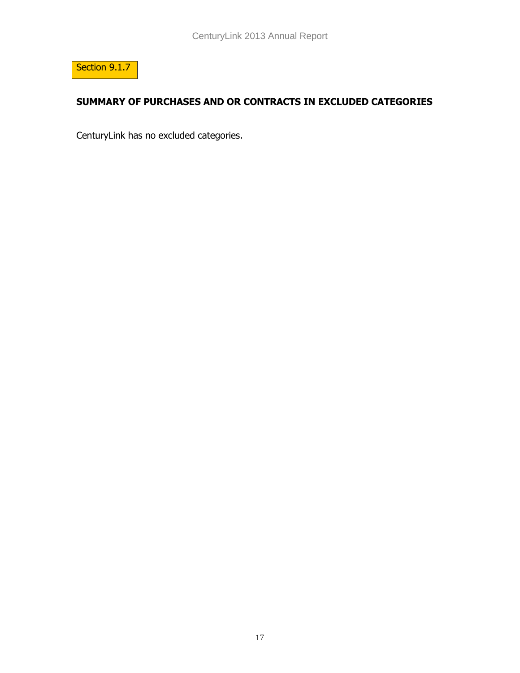

## **SUMMARY OF PURCHASES AND OR CONTRACTS IN EXCLUDED CATEGORIES**

CenturyLink has no excluded categories.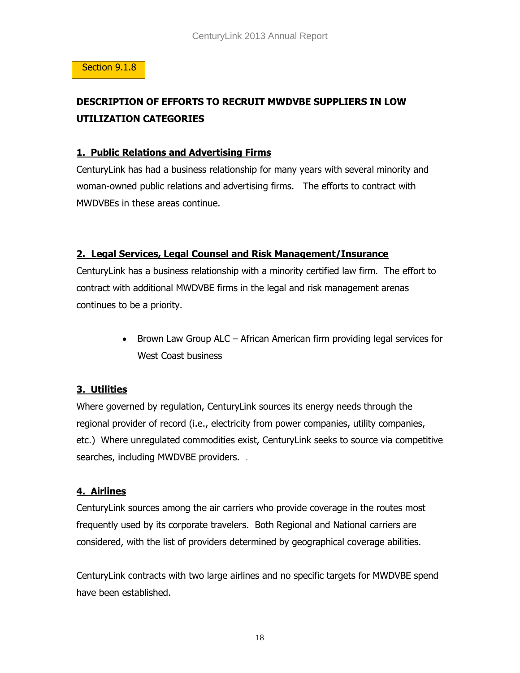#### Section 9.1.8

# **DESCRIPTION OF EFFORTS TO RECRUIT MWDVBE SUPPLIERS IN LOW UTILIZATION CATEGORIES**

#### **1. Public Relations and Advertising Firms**

CenturyLink has had a business relationship for many years with several minority and woman-owned public relations and advertising firms. The efforts to contract with MWDVBEs in these areas continue.

### **2. Legal Services, Legal Counsel and Risk Management/Insurance**

CenturyLink has a business relationship with a minority certified law firm. The effort to contract with additional MWDVBE firms in the legal and risk management arenas continues to be a priority.

> • Brown Law Group ALC – African American firm providing legal services for West Coast business

### **3. Utilities**

Where governed by regulation, CenturyLink sources its energy needs through the regional provider of record (i.e., electricity from power companies, utility companies, etc.) Where unregulated commodities exist, CenturyLink seeks to source via competitive searches, including MWDVBE providers. .

### **4. Airlines**

CenturyLink sources among the air carriers who provide coverage in the routes most frequently used by its corporate travelers. Both Regional and National carriers are considered, with the list of providers determined by geographical coverage abilities.

CenturyLink contracts with two large airlines and no specific targets for MWDVBE spend have been established.

18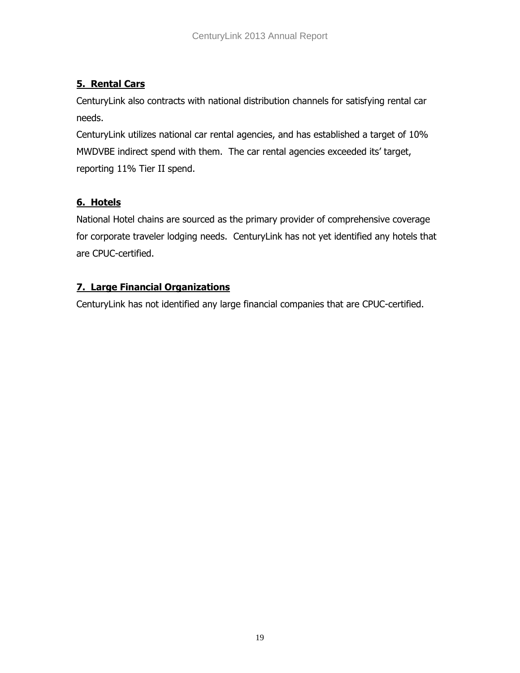## **5. Rental Cars**

CenturyLink also contracts with national distribution channels for satisfying rental car needs.

CenturyLink utilizes national car rental agencies, and has established a target of 10% MWDVBE indirect spend with them. The car rental agencies exceeded its' target, reporting 11% Tier II spend.

## **6. Hotels**

National Hotel chains are sourced as the primary provider of comprehensive coverage for corporate traveler lodging needs. CenturyLink has not yet identified any hotels that are CPUC-certified.

## **7. Large Financial Organizations**

CenturyLink has not identified any large financial companies that are CPUC-certified.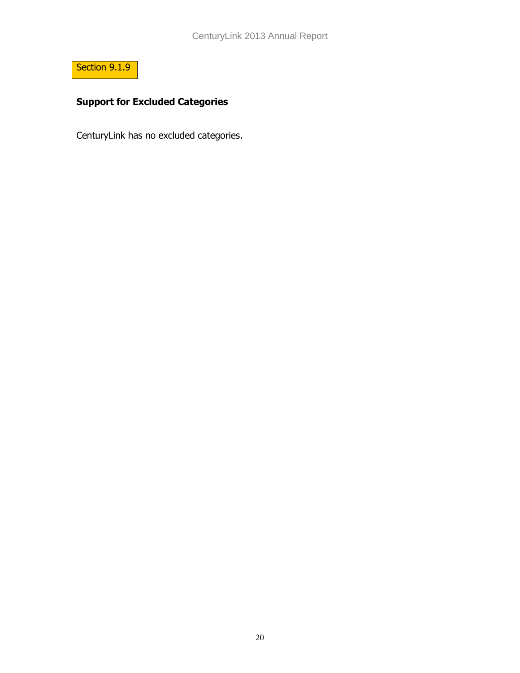

# **Support for Excluded Categories**

CenturyLink has no excluded categories.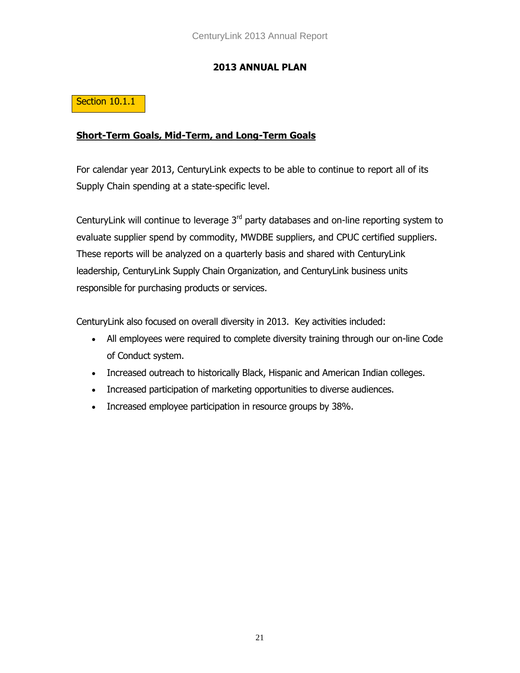### **2013 ANNUAL PLAN**

### Section 10.1.1

#### **Short-Term Goals, Mid-Term, and Long-Term Goals**

For calendar year 2013, CenturyLink expects to be able to continue to report all of its Supply Chain spending at a state-specific level.

CenturyLink will continue to leverage  $3<sup>rd</sup>$  party databases and on-line reporting system to evaluate supplier spend by commodity, MWDBE suppliers, and CPUC certified suppliers. These reports will be analyzed on a quarterly basis and shared with CenturyLink leadership, CenturyLink Supply Chain Organization, and CenturyLink business units responsible for purchasing products or services.

CenturyLink also focused on overall diversity in 2013. Key activities included:

- All employees were required to complete diversity training through our on-line Code of Conduct system.
- Increased outreach to historically Black, Hispanic and American Indian colleges.
- Increased participation of marketing opportunities to diverse audiences.
- Increased employee participation in resource groups by 38%.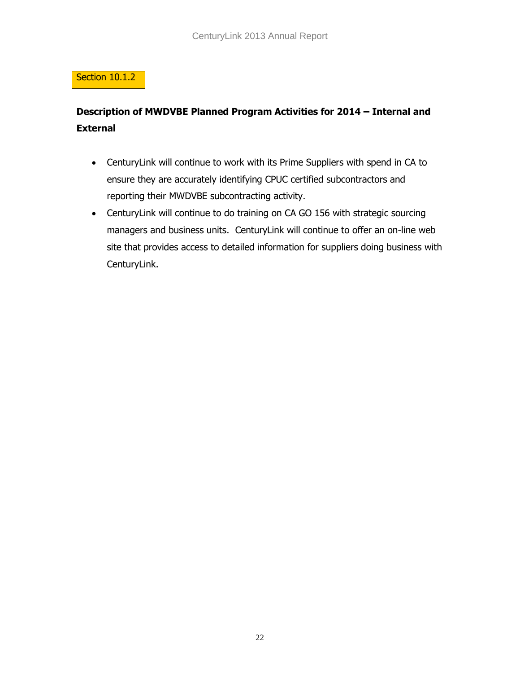## Section 10.1.2

# **Description of MWDVBE Planned Program Activities for 2014 – Internal and External**

- CenturyLink will continue to work with its Prime Suppliers with spend in CA to ensure they are accurately identifying CPUC certified subcontractors and reporting their MWDVBE subcontracting activity.
- CenturyLink will continue to do training on CA GO 156 with strategic sourcing managers and business units. CenturyLink will continue to offer an on-line web site that provides access to detailed information for suppliers doing business with CenturyLink.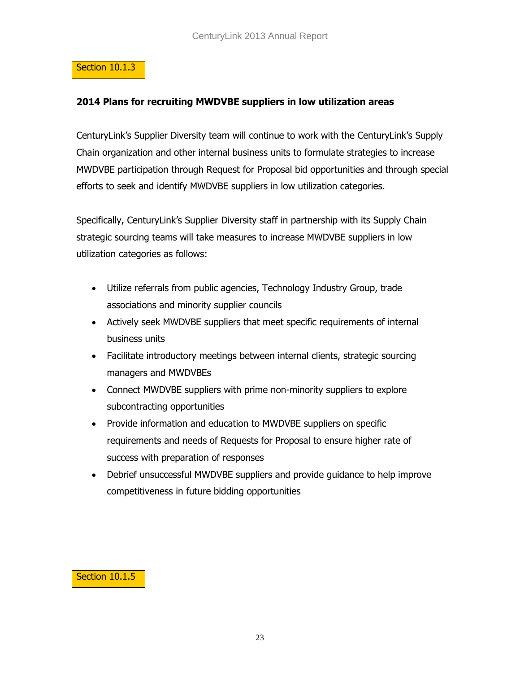#### Section 10.1.3

#### **2014 Plans for recruiting MWDVBE suppliers in low utilization areas**

CenturyLink's Supplier Diversity team will continue to work with the CenturyLink's Supply Chain organization and other internal business units to formulate strategies to increase MWDVBE participation through Request for Proposal bid opportunities and through special efforts to seek and identify MWDVBE suppliers in low utilization categories.

Specifically, CenturyLink's Supplier Diversity staff in partnership with its Supply Chain strategic sourcing teams will take measures to increase MWDVBE suppliers in low utilization categories as follows:

- Utilize referrals from public agencies, Technology Industry Group, trade associations and minority supplier councils
- Actively seek MWDVBE suppliers that meet specific requirements of internal business units
- Facilitate introductory meetings between internal clients, strategic sourcing managers and MWDVBEs
- Connect MWDVBE suppliers with prime non-minority suppliers to explore subcontracting opportunities
- Provide information and education to MWDVBE suppliers on specific requirements and needs of Requests for Proposal to ensure higher rate of success with preparation of responses
- Debrief unsuccessful MWDVBE suppliers and provide guidance to help improve competitiveness in future bidding opportunities

#### Section 10.1.5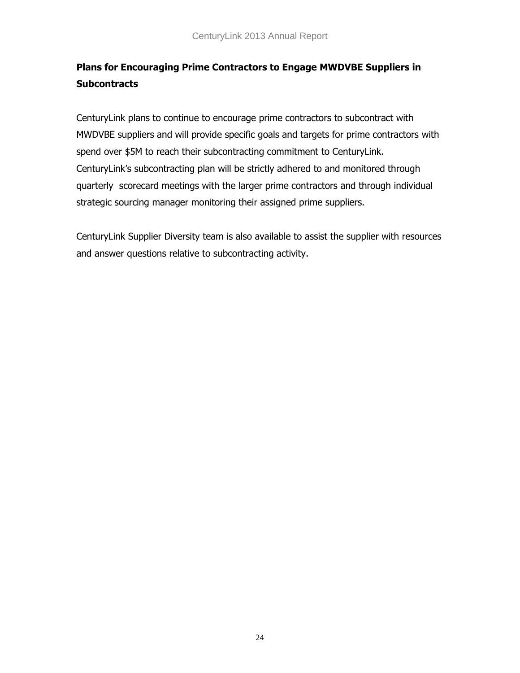# **Plans for Encouraging Prime Contractors to Engage MWDVBE Suppliers in Subcontracts**

CenturyLink plans to continue to encourage prime contractors to subcontract with MWDVBE suppliers and will provide specific goals and targets for prime contractors with spend over \$5M to reach their subcontracting commitment to CenturyLink. CenturyLink's subcontracting plan will be strictly adhered to and monitored through quarterly scorecard meetings with the larger prime contractors and through individual strategic sourcing manager monitoring their assigned prime suppliers.

CenturyLink Supplier Diversity team is also available to assist the supplier with resources and answer questions relative to subcontracting activity.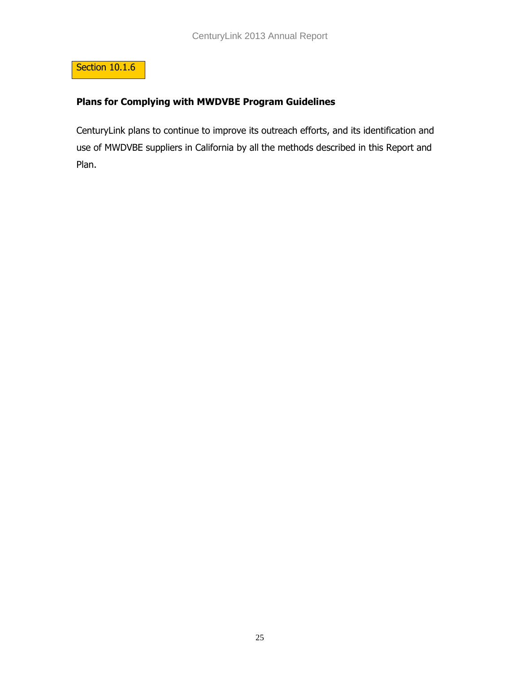

### **Plans for Complying with MWDVBE Program Guidelines**

CenturyLink plans to continue to improve its outreach efforts, and its identification and use of MWDVBE suppliers in California by all the methods described in this Report and Plan.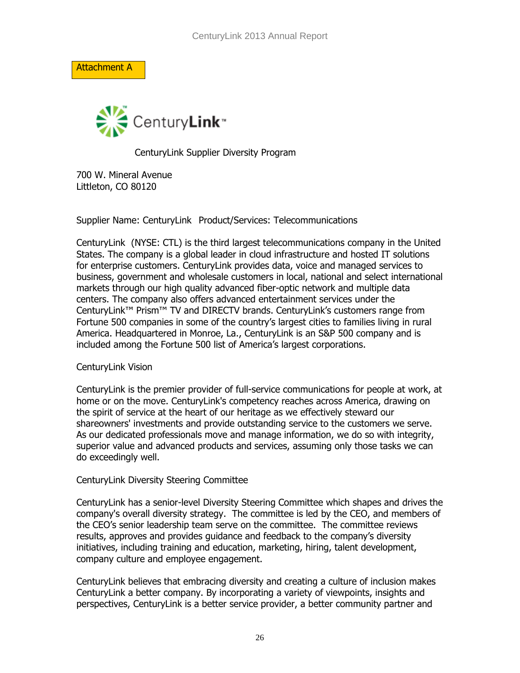Attachment A



CenturyLink Supplier Diversity Program

700 W. Mineral Avenue Littleton, CO 80120

Supplier Name: CenturyLink Product/Services: Telecommunications

CenturyLink (NYSE: CTL) is the third largest telecommunications company in the United States. The company is a global leader in cloud infrastructure and hosted IT solutions for enterprise customers. CenturyLink provides data, voice and managed services to business, government and wholesale customers in local, national and select international markets through our high quality advanced fiber-optic network and multiple data centers. The company also offers advanced entertainment services under the CenturyLink™ Prism™ TV and DIRECTV brands. CenturyLink's customers range from Fortune 500 companies in some of the country's largest cities to families living in rural America. Headquartered in Monroe, La., CenturyLink is an S&P 500 company and is included among the Fortune 500 list of America's largest corporations.

#### CenturyLink Vision

CenturyLink is the premier provider of full-service communications for people at work, at home or on the move. CenturyLink's competency reaches across America, drawing on the spirit of service at the heart of our heritage as we effectively steward our shareowners' investments and provide outstanding service to the customers we serve. As our dedicated professionals move and manage information, we do so with integrity, superior value and advanced products and services, assuming only those tasks we can do exceedingly well.

#### CenturyLink Diversity Steering Committee

CenturyLink has a senior-level Diversity Steering Committee which shapes and drives the company's overall diversity strategy. The committee is led by the CEO, and members of the CEO's senior leadership team serve on the committee. The committee reviews results, approves and provides guidance and feedback to the company's diversity initiatives, including training and education, marketing, hiring, talent development, company culture and employee engagement.

CenturyLink believes that embracing diversity and creating a culture of inclusion makes CenturyLink a better company. By incorporating a variety of viewpoints, insights and perspectives, CenturyLink is a better service provider, a better community partner and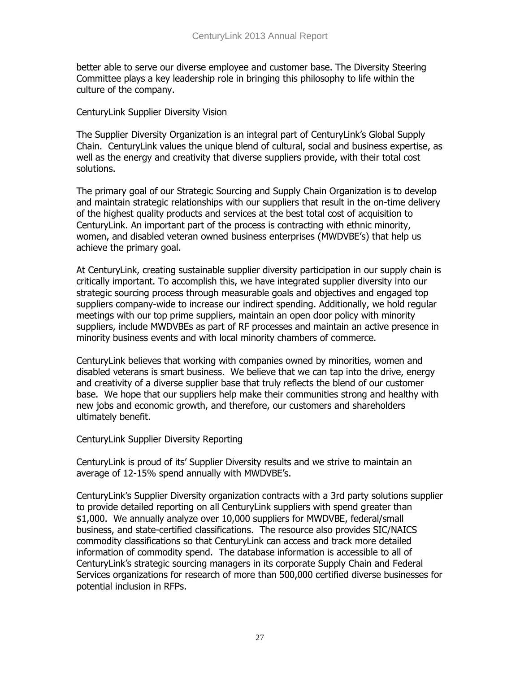better able to serve our diverse employee and customer base. The Diversity Steering Committee plays a key leadership role in bringing this philosophy to life within the culture of the company.

#### CenturyLink Supplier Diversity Vision

The Supplier Diversity Organization is an integral part of CenturyLink's Global Supply Chain. CenturyLink values the unique blend of cultural, social and business expertise, as well as the energy and creativity that diverse suppliers provide, with their total cost solutions.

The primary goal of our Strategic Sourcing and Supply Chain Organization is to develop and maintain strategic relationships with our suppliers that result in the on-time delivery of the highest quality products and services at the best total cost of acquisition to CenturyLink. An important part of the process is contracting with ethnic minority, women, and disabled veteran owned business enterprises (MWDVBE's) that help us achieve the primary goal.

At CenturyLink, creating sustainable supplier diversity participation in our supply chain is critically important. To accomplish this, we have integrated supplier diversity into our strategic sourcing process through measurable goals and objectives and engaged top suppliers company-wide to increase our indirect spending. Additionally, we hold regular meetings with our top prime suppliers, maintain an open door policy with minority suppliers, include MWDVBEs as part of RF processes and maintain an active presence in minority business events and with local minority chambers of commerce.

CenturyLink believes that working with companies owned by minorities, women and disabled veterans is smart business. We believe that we can tap into the drive, energy and creativity of a diverse supplier base that truly reflects the blend of our customer base. We hope that our suppliers help make their communities strong and healthy with new jobs and economic growth, and therefore, our customers and shareholders ultimately benefit.

#### CenturyLink Supplier Diversity Reporting

CenturyLink is proud of its' Supplier Diversity results and we strive to maintain an average of 12-15% spend annually with MWDVBE's.

CenturyLink's Supplier Diversity organization contracts with a 3rd party solutions supplier to provide detailed reporting on all CenturyLink suppliers with spend greater than \$1,000. We annually analyze over 10,000 suppliers for MWDVBE, federal/small business, and state-certified classifications. The resource also provides SIC/NAICS commodity classifications so that CenturyLink can access and track more detailed information of commodity spend. The database information is accessible to all of CenturyLink's strategic sourcing managers in its corporate Supply Chain and Federal Services organizations for research of more than 500,000 certified diverse businesses for potential inclusion in RFPs.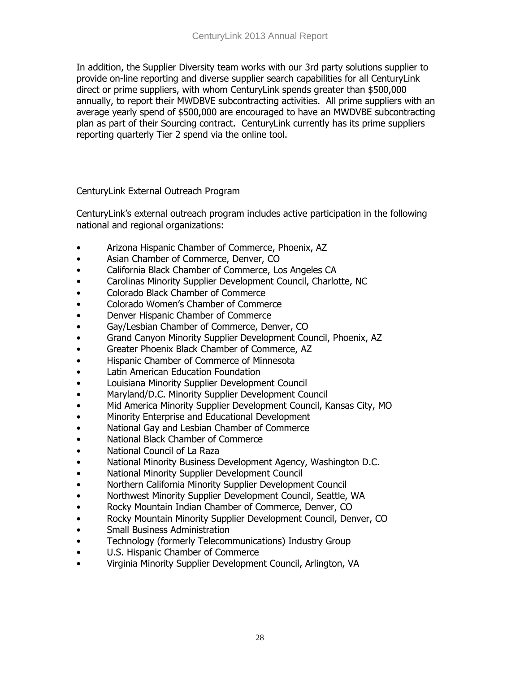In addition, the Supplier Diversity team works with our 3rd party solutions supplier to provide on-line reporting and diverse supplier search capabilities for all CenturyLink direct or prime suppliers, with whom CenturyLink spends greater than \$500,000 annually, to report their MWDBVE subcontracting activities. All prime suppliers with an average yearly spend of \$500,000 are encouraged to have an MWDVBE subcontracting plan as part of their Sourcing contract. CenturyLink currently has its prime suppliers reporting quarterly Tier 2 spend via the online tool.

CenturyLink External Outreach Program

CenturyLink's external outreach program includes active participation in the following national and regional organizations:

- Arizona Hispanic Chamber of Commerce, Phoenix, AZ
- Asian Chamber of Commerce, Denver, CO
- California Black Chamber of Commerce, Los Angeles CA
- Carolinas Minority Supplier Development Council, Charlotte, NC
- Colorado Black Chamber of Commerce
- Colorado Women's Chamber of Commerce
- Denver Hispanic Chamber of Commerce
- Gay/Lesbian Chamber of Commerce, Denver, CO
- Grand Canyon Minority Supplier Development Council, Phoenix, AZ
- Greater Phoenix Black Chamber of Commerce, AZ
- Hispanic Chamber of Commerce of Minnesota
- **Latin American Education Foundation**
- Louisiana Minority Supplier Development Council
- Maryland/D.C. Minority Supplier Development Council
- Mid America Minority Supplier Development Council, Kansas City, MO
- Minority Enterprise and Educational Development
- National Gay and Lesbian Chamber of Commerce
- National Black Chamber of Commerce
- National Council of La Raza
- National Minority Business Development Agency, Washington D.C.
- National Minority Supplier Development Council
- Northern California Minority Supplier Development Council
- Northwest Minority Supplier Development Council, Seattle, WA
- Rocky Mountain Indian Chamber of Commerce, Denver, CO
- Rocky Mountain Minority Supplier Development Council, Denver, CO
- Small Business Administration
- Technology (formerly Telecommunications) Industry Group
- U.S. Hispanic Chamber of Commerce
- Virginia Minority Supplier Development Council, Arlington, VA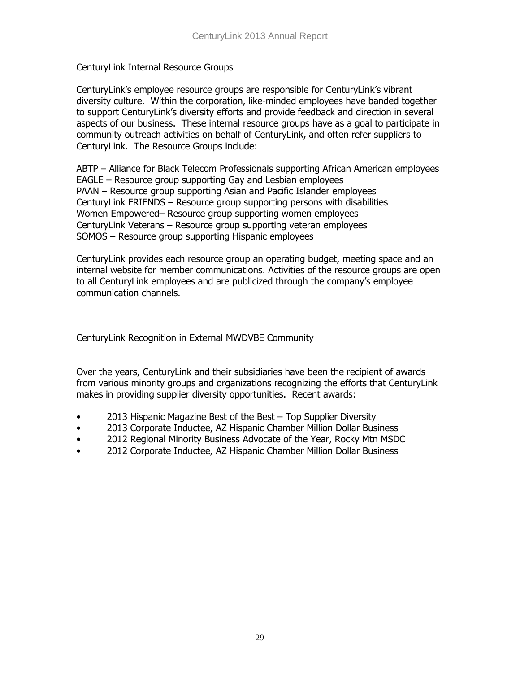CenturyLink Internal Resource Groups

CenturyLink's employee resource groups are responsible for CenturyLink's vibrant diversity culture. Within the corporation, like-minded employees have banded together to support CenturyLink's diversity efforts and provide feedback and direction in several aspects of our business. These internal resource groups have as a goal to participate in community outreach activities on behalf of CenturyLink, and often refer suppliers to CenturyLink. The Resource Groups include:

ABTP – Alliance for Black Telecom Professionals supporting African American employees EAGLE – Resource group supporting Gay and Lesbian employees PAAN – Resource group supporting Asian and Pacific Islander employees CenturyLink FRIENDS – Resource group supporting persons with disabilities Women Empowered– Resource group supporting women employees CenturyLink Veterans – Resource group supporting veteran employees SOMOS – Resource group supporting Hispanic employees

CenturyLink provides each resource group an operating budget, meeting space and an internal website for member communications. Activities of the resource groups are open to all CenturyLink employees and are publicized through the company's employee communication channels.

CenturyLink Recognition in External MWDVBE Community

Over the years, CenturyLink and their subsidiaries have been the recipient of awards from various minority groups and organizations recognizing the efforts that CenturyLink makes in providing supplier diversity opportunities. Recent awards:

- 2013 Hispanic Magazine Best of the Best Top Supplier Diversity
- 2013 Corporate Inductee, AZ Hispanic Chamber Million Dollar Business
- 2012 Regional Minority Business Advocate of the Year, Rocky Mtn MSDC
- 2012 Corporate Inductee, AZ Hispanic Chamber Million Dollar Business